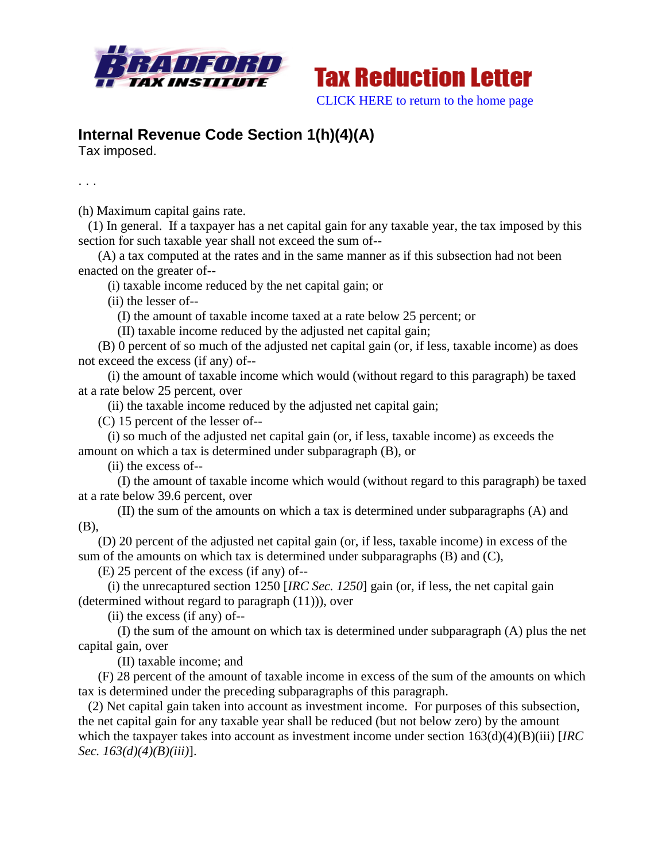



## **Internal Revenue Code Section 1(h)(4)(A)**

Tax imposed.

. . .

(h) Maximum capital gains rate.

 (1) In general. If a taxpayer has a net capital gain for any taxable year, the tax imposed by this section for such taxable year shall not exceed the sum of--

 (A) a tax computed at the rates and in the same manner as if this subsection had not been enacted on the greater of--

(i) taxable income reduced by the net capital gain; or

(ii) the lesser of--

(I) the amount of taxable income taxed at a rate below 25 percent; or

(II) taxable income reduced by the adjusted net capital gain;

 (B) 0 percent of so much of the adjusted net capital gain (or, if less, taxable income) as does not exceed the excess (if any) of--

 (i) the amount of taxable income which would (without regard to this paragraph) be taxed at a rate below 25 percent, over

(ii) the taxable income reduced by the adjusted net capital gain;

(C) 15 percent of the lesser of--

 (i) so much of the adjusted net capital gain (or, if less, taxable income) as exceeds the amount on which a tax is determined under subparagraph (B), or

(ii) the excess of--

 (I) the amount of taxable income which would (without regard to this paragraph) be taxed at a rate below 39.6 percent, over

 (II) the sum of the amounts on which a tax is determined under subparagraphs (A) and (B),

 (D) 20 percent of the adjusted net capital gain (or, if less, taxable income) in excess of the sum of the amounts on which tax is determined under subparagraphs (B) and (C),

(E) 25 percent of the excess (if any) of--

 (i) the unrecaptured section 1250 [*IRC Sec. 1250*] gain (or, if less, the net capital gain (determined without regard to paragraph (11))), over

(ii) the excess (if any) of--

 (I) the sum of the amount on which tax is determined under subparagraph (A) plus the net capital gain, over

(II) taxable income; and

 (F) 28 percent of the amount of taxable income in excess of the sum of the amounts on which tax is determined under the preceding subparagraphs of this paragraph.

 (2) Net capital gain taken into account as investment income. For purposes of this subsection, the net capital gain for any taxable year shall be reduced (but not below zero) by the amount which the taxpayer takes into account as investment income under section  $163(d)(4)(B)(iii)$  [*IRC Sec. 163(d)(4)(B)(iii)*].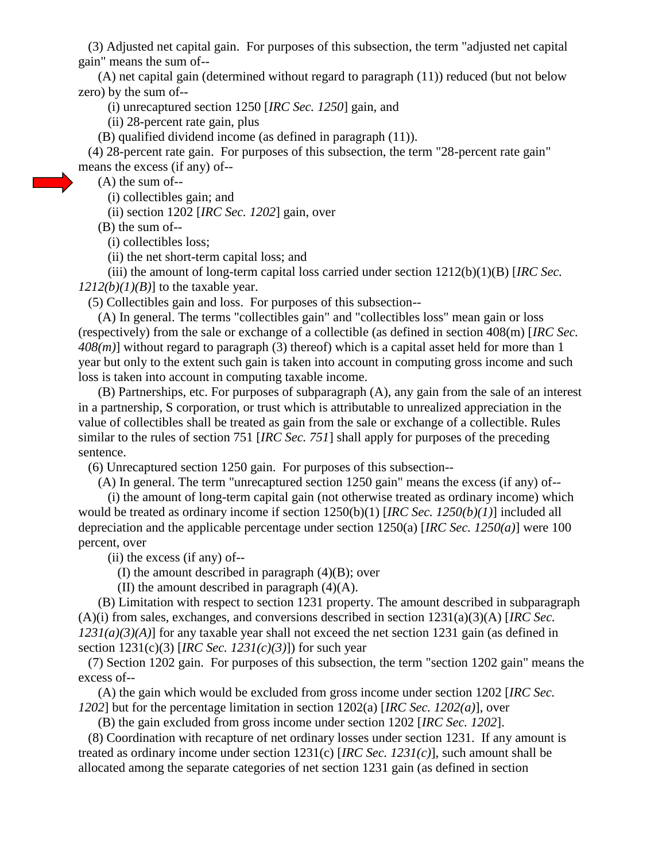(3) Adjusted net capital gain. For purposes of this subsection, the term "adjusted net capital gain" means the sum of--

 (A) net capital gain (determined without regard to paragraph (11)) reduced (but not below zero) by the sum of--

(i) unrecaptured section 1250 [*IRC Sec. 1250*] gain, and

(ii) 28-percent rate gain, plus

(B) qualified dividend income (as defined in paragraph (11)).

 (4) 28-percent rate gain. For purposes of this subsection, the term "28-percent rate gain" means the excess (if any) of--

(A) the sum of--

(i) collectibles gain; and

(ii) section 1202 [*IRC Sec. 1202*] gain, over

(B) the sum of--

(i) collectibles loss;

(ii) the net short-term capital loss; and

 (iii) the amount of long-term capital loss carried under section 1212(b)(1)(B) [*IRC Sec.*   $1212(b)(1)(B)$ ] to the taxable year.

(5) Collectibles gain and loss. For purposes of this subsection--

 (A) In general. The terms "collectibles gain" and "collectibles loss" mean gain or loss (respectively) from the sale or exchange of a collectible (as defined in section 408(m) [*IRC Sec. 408(m)*] without regard to paragraph (3) thereof) which is a capital asset held for more than 1 year but only to the extent such gain is taken into account in computing gross income and such loss is taken into account in computing taxable income.

 (B) Partnerships, etc. For purposes of subparagraph (A), any gain from the sale of an interest in a partnership, S corporation, or trust which is attributable to unrealized appreciation in the value of collectibles shall be treated as gain from the sale or exchange of a collectible. Rules similar to the rules of section 751 [*IRC Sec. 751*] shall apply for purposes of the preceding sentence.

(6) Unrecaptured section 1250 gain. For purposes of this subsection--

(A) In general. The term "unrecaptured section 1250 gain" means the excess (if any) of--

 (i) the amount of long-term capital gain (not otherwise treated as ordinary income) which would be treated as ordinary income if section 1250(b)(1) [*IRC Sec. 1250(b)(1)*] included all depreciation and the applicable percentage under section 1250(a) [*IRC Sec. 1250(a)*] were 100 percent, over

(ii) the excess (if any) of--

(I) the amount described in paragraph  $(4)(B)$ ; over

(II) the amount described in paragraph (4)(A).

 (B) Limitation with respect to section 1231 property. The amount described in subparagraph (A)(i) from sales, exchanges, and conversions described in section 1231(a)(3)(A) [*IRC Sec. 1231(a)(3)(A)*] for any taxable year shall not exceed the net section 1231 gain (as defined in section 1231(c)(3) [*IRC Sec. 1231(c)(3)*]) for such year

 (7) Section 1202 gain. For purposes of this subsection, the term "section 1202 gain" means the excess of--

 (A) the gain which would be excluded from gross income under section 1202 [*IRC Sec. 1202*] but for the percentage limitation in section 1202(a) [*IRC Sec. 1202(a)*], over

(B) the gain excluded from gross income under section 1202 [*IRC Sec. 1202*].

 (8) Coordination with recapture of net ordinary losses under section 1231. If any amount is treated as ordinary income under section 1231(c) [*IRC Sec. 1231(c)*], such amount shall be allocated among the separate categories of net section 1231 gain (as defined in section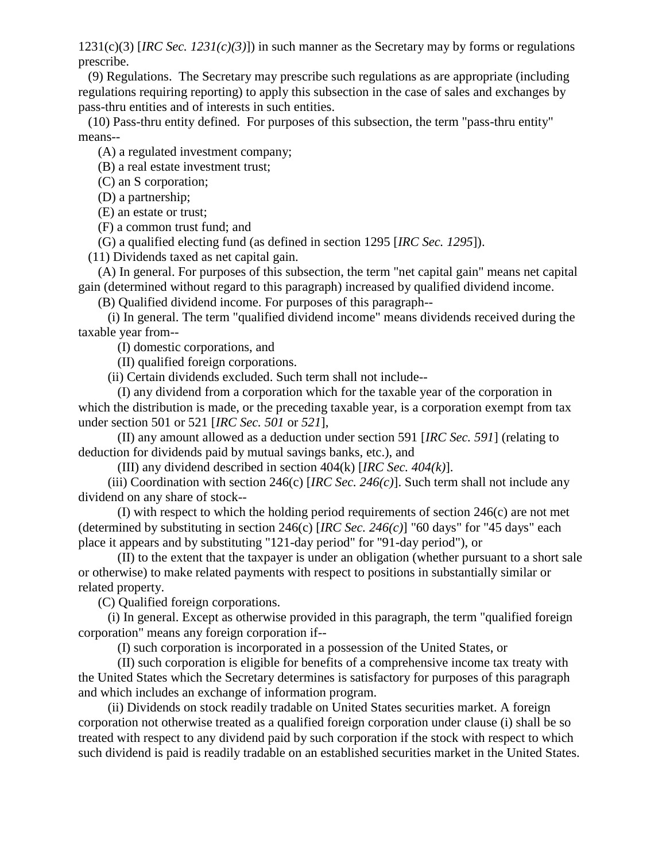1231(c)(3) [*IRC Sec. 1231(c)(3)*]) in such manner as the Secretary may by forms or regulations prescribe.

 (9) Regulations. The Secretary may prescribe such regulations as are appropriate (including regulations requiring reporting) to apply this subsection in the case of sales and exchanges by pass-thru entities and of interests in such entities.

 (10) Pass-thru entity defined. For purposes of this subsection, the term "pass-thru entity" means--

(A) a regulated investment company;

(B) a real estate investment trust;

(C) an S corporation;

(D) a partnership;

(E) an estate or trust;

(F) a common trust fund; and

(G) a qualified electing fund (as defined in section 1295 [*IRC Sec. 1295*]).

(11) Dividends taxed as net capital gain.

 (A) In general. For purposes of this subsection, the term "net capital gain" means net capital gain (determined without regard to this paragraph) increased by qualified dividend income.

(B) Qualified dividend income. For purposes of this paragraph--

 (i) In general. The term "qualified dividend income" means dividends received during the taxable year from--

(I) domestic corporations, and

(II) qualified foreign corporations.

(ii) Certain dividends excluded. Such term shall not include--

 (I) any dividend from a corporation which for the taxable year of the corporation in which the distribution is made, or the preceding taxable year, is a corporation exempt from tax under section 501 or 521 [*IRC Sec. 501* or *521*],

 (II) any amount allowed as a deduction under section 591 [*IRC Sec. 591*] (relating to deduction for dividends paid by mutual savings banks, etc.), and

(III) any dividend described in section 404(k) [*IRC Sec. 404(k)*].

 (iii) Coordination with section 246(c) [*IRC Sec. 246(c)*]. Such term shall not include any dividend on any share of stock--

 (I) with respect to which the holding period requirements of section 246(c) are not met (determined by substituting in section 246(c) [*IRC Sec. 246(c)*] "60 days" for "45 days" each place it appears and by substituting "121-day period" for "91-day period"), or

 (II) to the extent that the taxpayer is under an obligation (whether pursuant to a short sale or otherwise) to make related payments with respect to positions in substantially similar or related property.

(C) Qualified foreign corporations.

 (i) In general. Except as otherwise provided in this paragraph, the term "qualified foreign corporation" means any foreign corporation if--

(I) such corporation is incorporated in a possession of the United States, or

 (II) such corporation is eligible for benefits of a comprehensive income tax treaty with the United States which the Secretary determines is satisfactory for purposes of this paragraph and which includes an exchange of information program.

 (ii) Dividends on stock readily tradable on United States securities market. A foreign corporation not otherwise treated as a qualified foreign corporation under clause (i) shall be so treated with respect to any dividend paid by such corporation if the stock with respect to which such dividend is paid is readily tradable on an established securities market in the United States.